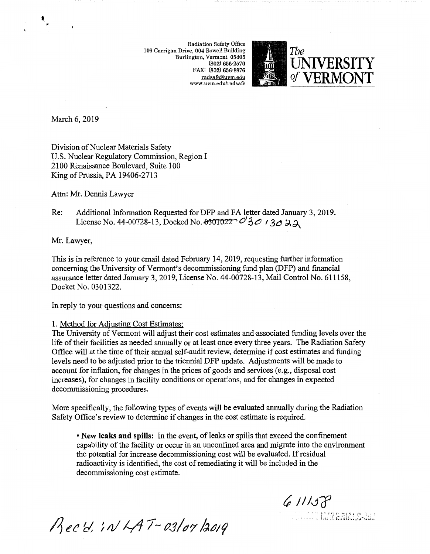Radiation Safety Office 106 Carrigan Drive, 004 Rowell Building Burlington, Vermont 05405 (802) 656·2570 FAX: (802) 656-8876 radsafe@uvm.edu www.uvm.edu/radsafe



March 6, 2019

I

Division of Nuclear Materials Safety U.S. Nuclear Regulatory Commission, Region I 2100 Renaissance Boulevard, Suite 100 King of Prussia, PA 19406-2713

Attn: Mr. Dennis Lawyer

Re: Additional Information Requested for DFP and FA letter dated January 3, 2019. License No. 44-00728-13, Docked No.  $\theta$ 301022  $\mathcal{O}'_3 \mathcal{O}'$  / 3 $\mathcal{O} \boxtimes \mathcal{A}$ 

Mr. Lawyer,

This is in reference to your email dated February 14, 2019, requesting further information concerning the University of Vermont's decommissioning fund plan (DFP) and financial assurance letter dated January 3, 2019, License No. 44-00728-13, Mail Control No. 611158, Docket No. 0301322.

In reply to your questions and concerns:

## 1. Method for Adjusting Cost Estimates;

The University of Vermont will adjust their cost estimates and associated funding levels over the life of their facilities as needed annually or at least once every three years. The Radiation Safety Office will at the time of their annual self-audit review, determine if cost estimates and funding levels need to be adjusted prior to the triennial DFP update. Adjustments will be made to account for inflation, for changes in the prices of goods and services (e.g., disposal cost increases), for changes in facility conditions or operations, and for changes in expected decommissioning procedures.

More specifically, the following types of events will be evaluated annually during the Radiation Safety Office's review to determine if changes in the cost estimate is required.

• **New leaks and spills:** In the event, of leaks or spills that exceed the confinement capability of the facility or occur in an unconfined area and migrate into the environment the potential for increase decommissioning cost will be evaluated. If residual radioactivity is identified, the cost of rernediating it will be included in the decommissioning cost estimate.

 $611158$ 

MENALC-202

Rec'd. IN LAT-03/07/2019